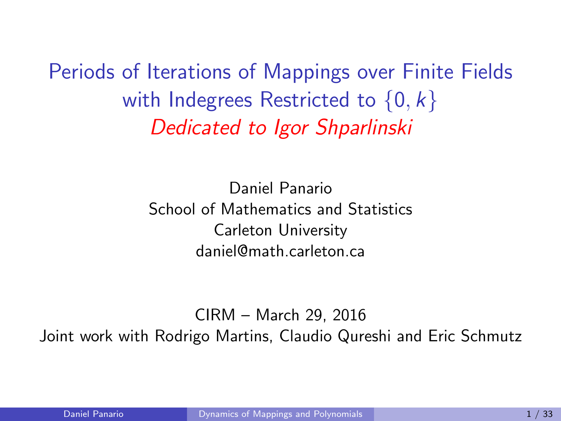Periods of Iterations of Mappings over Finite Fields with Indegrees Restricted to  $\{0, k\}$ Dedicated to Igor Shparlinski

> <span id="page-0-0"></span>Daniel Panario School of Mathematics and Statistics Carleton University daniel@math.carleton.ca

CIRM – March 29, 2016 Joint work with Rodrigo Martins, Claudio Qureshi and Eric Schmutz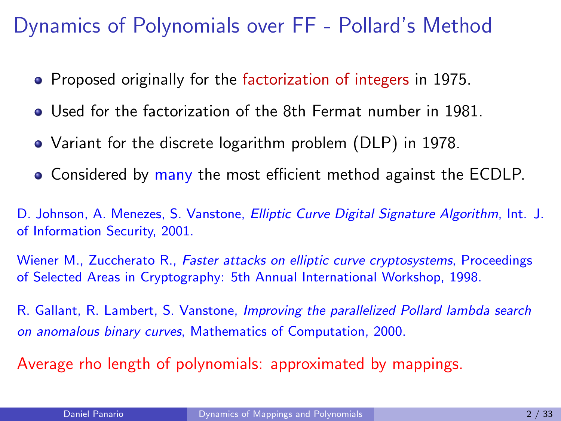#### Dynamics of Polynomials over FF - Pollard's Method

- Proposed originally for the factorization of integers in 1975.
- Used for the factorization of the 8th Fermat number in 1981.
- Variant for the discrete logarithm problem (DLP) in 1978.
- Considered by many the most efficient method against the ECDLP.

D. Johnson, A. Menezes, S. Vanstone, *Elliptic Curve Digital Signature Algorithm*, Int. J. of Information Security, 2001.

Wiener M., Zuccherato R., *Faster attacks on elliptic curve cryptosystems*, Proceedings of Selected Areas in Cryptography: 5th Annual International Workshop, 1998.

R. Gallant, R. Lambert, S. Vanstone, Improving the parallelized Pollard lambda search on anomalous binary curves, Mathematics of Computation, 2000.

Average rho length of polynomials: approximated by mappings.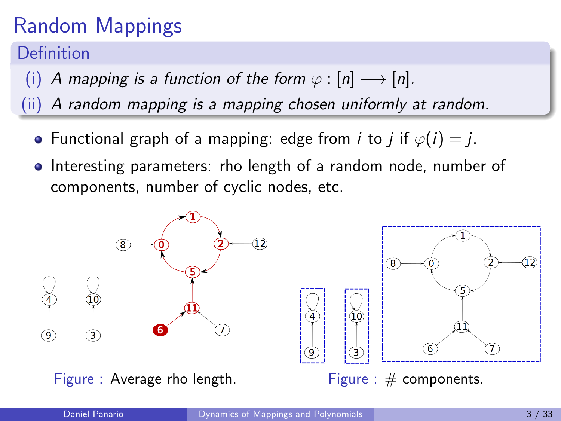# Random Mappings

Definition

- (i) A mapping is a function of the form  $\varphi : [n] \longrightarrow [n]$ .
- (ii) A random mapping is a mapping chosen uniformly at random.
	- Functional graph of a mapping: edge from *i* to *j* if  $\varphi(i) = j$ .
	- Interesting parameters: rho length of a random node, number of components, number of cyclic nodes, etc.

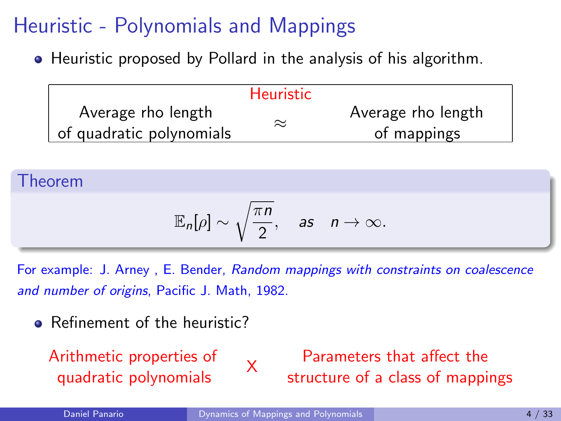Heuristic proposed by Pollard in the analysis of his algorithm.

|                          | <b>Heuristic</b> |                    |
|--------------------------|------------------|--------------------|
| Average rho length       | $\approx$        | Average rho length |
| of quadratic polynomials |                  | of mappings        |

Theorem

$$
\mathbb{E}_n[\rho]\sim \sqrt{\frac{\pi n}{2}}, \quad \text{as} \quad n\to\infty.
$$

For example: J. Arney , E. Bender, Random mappings with constraints on coalescence and number of origins, Pacific J. Math, 1982.

• Refinement of the heuristic?

Arithmetic properties of quadratic polynomials XXX

Parameters that affect the structure of a class of mappings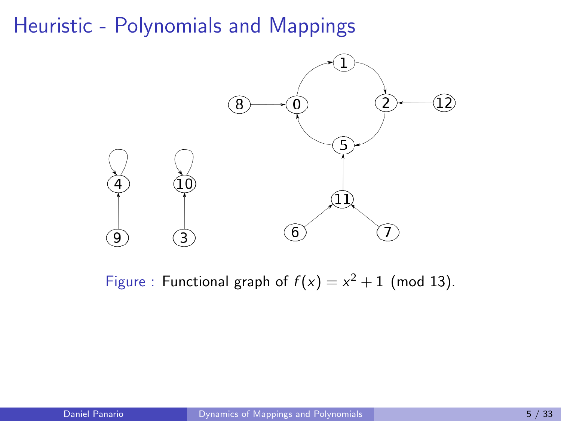

Figure : Functional graph of  $f(x) = x^2 + 1$  (mod 13).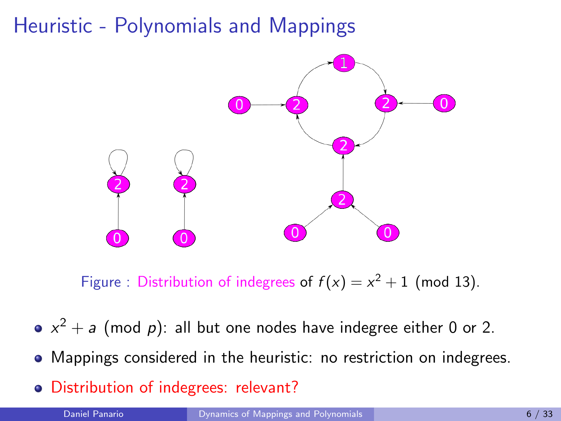

Figure : Distribution of indegrees of  $f(x) = x^2 + 1$  (mod 13).

- $x^2 + a$  (mod p): all but one nodes have indegree either 0 or 2.
- Mappings considered in the heuristic: no restriction on indegrees.
- Distribution of indegrees: relevant?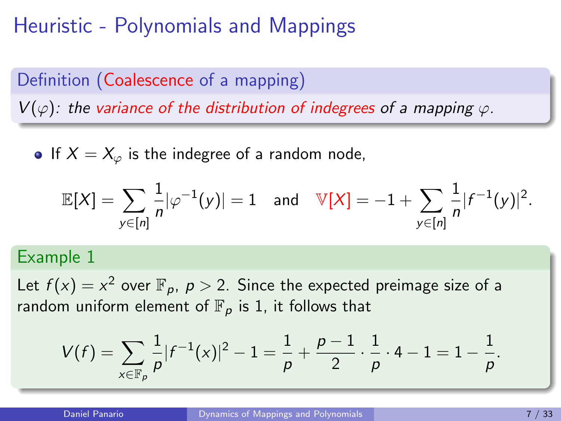# Definition (Coalescence of a mapping)  $V(\varphi)$ : the variance of the distribution of indegrees of a mapping  $\varphi$ .

• If  $X = X_{\varphi}$  is the indegree of a random node,

$$
\mathbb{E}[X] = \sum_{y \in [n]} \frac{1}{n} |\varphi^{-1}(y)| = 1 \text{ and } \mathbb{V}[X] = -1 + \sum_{y \in [n]} \frac{1}{n} |f^{-1}(y)|^2.
$$

#### Example 1

Let  $f(x) = x^2$  over  $\mathbb{F}_p$ ,  $p > 2$ . Since the expected preimage size of a random uniform element of  $\mathbb{F}_p$  is 1, it follows that

$$
V(f) = \sum_{x \in \mathbb{F}_p} \frac{1}{p} |f^{-1}(x)|^2 - 1 = \frac{1}{p} + \frac{p-1}{2} \cdot \frac{1}{p} \cdot 4 - 1 = 1 - \frac{1}{p}.
$$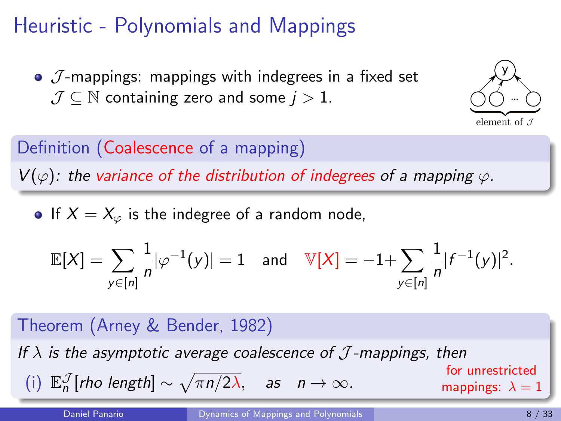$\bullet$   $\mathcal{J}$ -mappings: mappings with indegrees in a fixed set  $J \subset \mathbb{N}$  containing zero and some  $j > 1$ .



Definition (Coalescence of a mapping)  $V(\varphi)$ : the variance of the distribution of indegrees of a mapping  $\varphi$ .

• If  $X = X_{\varphi}$  is the indegree of a random node,

$$
\mathbb{E}[X] = \sum_{y \in [n]} \frac{1}{n} |\varphi^{-1}(y)| = 1 \text{ and } \mathbb{V}[X] = -1 + \sum_{y \in [n]} \frac{1}{n} |f^{-1}(y)|^2.
$$

| Theorem (Arney & Bender, 1982)                                                                |                                                           |
|-----------------------------------------------------------------------------------------------|-----------------------------------------------------------|
| If $\lambda$ is the asymptotic average coalescence of $\mathcal{J}$ -mappings, then           | for unrestricted for unrestricted mappings: $\lambda = 1$ |
| (i) $\mathbb{E}_n^{\mathcal{J}}[rho length] \sim \sqrt{\pi n/2\lambda}$ , as $n \to \infty$ . | mapping: $\lambda = 1$                                    |

Daniel Panario **[Dynamics of Mappings and Polynomials](#page-0-0) Communist Communist Communist Communist Communist Communist Communist Communist Communist Communist Communist Communist Communist Communist Communist Communist Communi**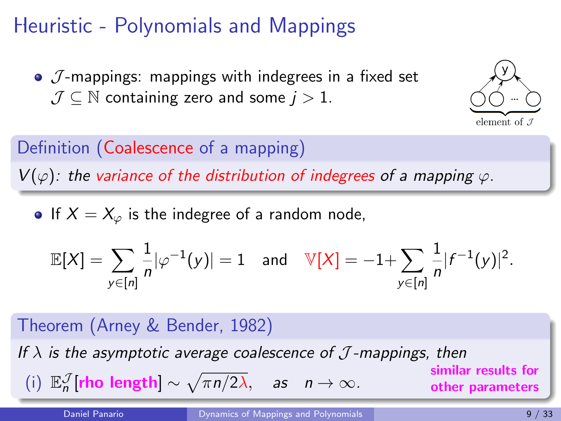$\bullet$   $\mathcal{J}$ -mappings: mappings with indegrees in a fixed set  $J \subset \mathbb{N}$  containing zero and some  $j > 1$ .



Definition (Coalescence of a mapping)  $V(\varphi)$ : the variance of the distribution of indegrees of a mapping  $\varphi$ .

• If  $X = X_{\varphi}$  is the indegree of a random node,

$$
\mathbb{E}[X] = \sum_{y \in [n]} \frac{1}{n} |\varphi^{-1}(y)| = 1 \text{ and } \mathbb{V}[X] = -1 + \sum_{y \in [n]} \frac{1}{n} |f^{-1}(y)|^2.
$$

| Theorem (Arney & Bender, 1982)                                                                                                               |                  |
|----------------------------------------------------------------------------------------------------------------------------------------------|------------------|
| If $\lambda$ is the asymptotic average coalescence of $\mathcal{J}$ -mappings, then similar results for similar results for other parameters |                  |
| (i) $\mathbb{E}_n^{\mathcal{J}}[\text{rho length}] \sim \sqrt{\pi n/2\lambda}$ , as $n \to \infty$ .                                         | other parameters |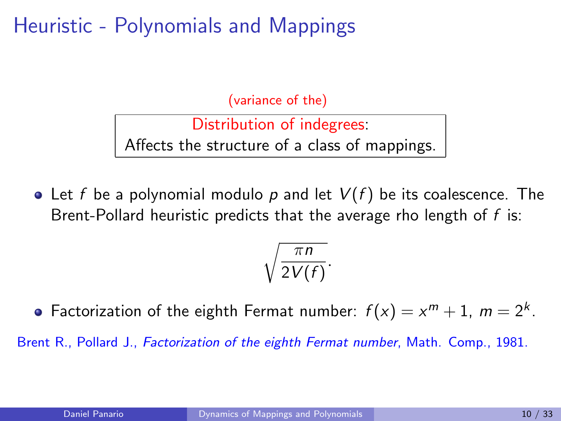(variance of the)

Distribution of indegrees: Affects the structure of a class of mappings.

• Let f be a polynomial modulo p and let  $V(f)$  be its coalescence. The Brent-Pollard heuristic predicts that the average rho length of  $f$  is:

$$
\sqrt{\frac{\pi n}{2V(f)}}.
$$

Factorization of the eighth Fermat number:  $f(x) = x^m + 1$ ,  $m = 2^k$ .

Brent R., Pollard J., Factorization of the eighth Fermat number, Math. Comp., 1981.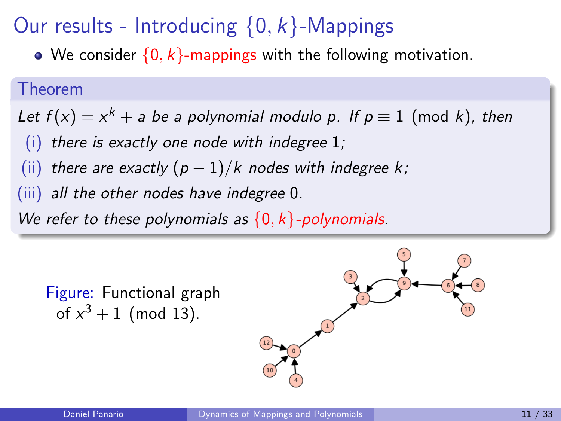# Our results - Introducing  $\{0, k\}$ -Mappings

• We consider  $\{0, k\}$ -mappings with the following motivation.

#### Theorem

Let  $f(x) = x^k + a$  be a polynomial modulo p. If  $p \equiv 1 \pmod k$ , then

- $(i)$  there is exactly one node with indegree 1;
- (ii) there are exactly  $(p-1)/k$  nodes with indegree k;
- (iii) all the other nodes have indegree 0.

We refer to these polynomials as  $\{0, k\}$ -polynomials.

Figure: Functional graph of  $x^3 + 1$  (mod 13).

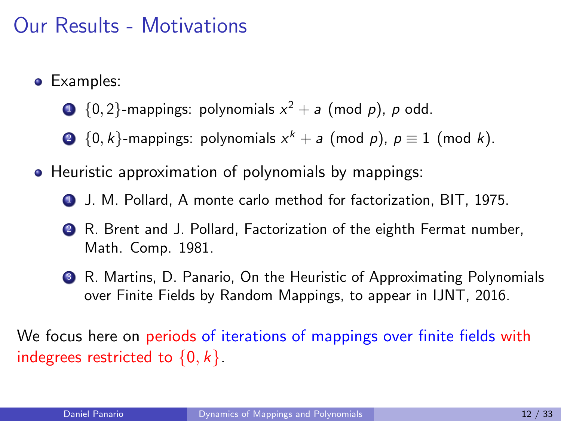### Our Results - Motivations

- Examples:
	- $\begin{aligned} \textbf{D} \ \ \{0,2\} \text{-mapings: polynomials}\ x^2 + a \ \ (\text{mod}\ \textit{p}),\ \textit{p} \ \text{odd}. \end{aligned}$
	- $\bullet\;\{0,k\}$ -mappings: polynomials  $x^{k}+a$  (mod  $p$ ),  $p\equiv 1$  (mod  $k$ ).
- Heuristic approximation of polynomials by mappings:
	- <sup>1</sup> J. M. Pollard, A monte carlo method for factorization, BIT, 1975.
	- <sup>2</sup> R. Brent and J. Pollard, Factorization of the eighth Fermat number, Math. Comp. 1981.
	- <sup>3</sup> R. Martins, D. Panario, On the Heuristic of Approximating Polynomials over Finite Fields by Random Mappings, to appear in IJNT, 2016.

We focus here on periods of iterations of mappings over finite fields with indegrees restricted to  $\{0, k\}$ .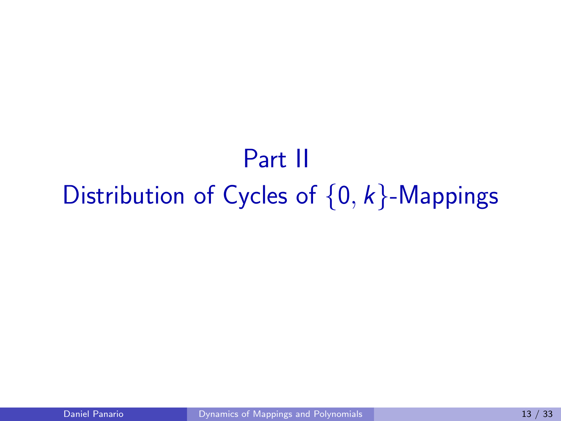# Part II Distribution of Cycles of  $\{0, k\}$ -Mappings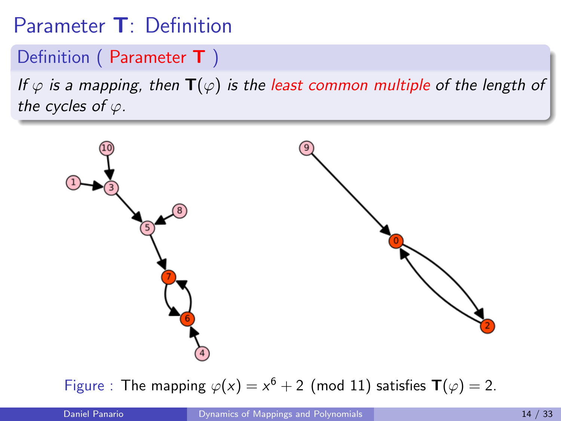## Parameter T: Definition

#### Definition (Parameter T)

If  $\varphi$  is a mapping, then  $\mathbf{T}(\varphi)$  is the least common multiple of the length of the cycles of  $\varphi$ .



Figure : The mapping  $\varphi(x) = x^6 + 2$  (mod 11) satisfies  $\mathbf{T}(\varphi) = 2$ .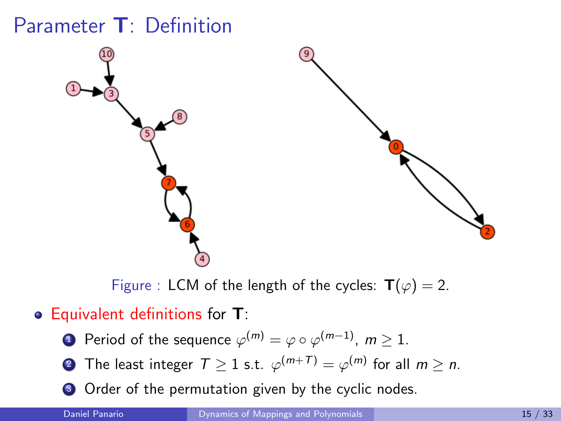### Parameter T: Definition



Figure : LCM of the length of the cycles:  $\mathbf{T}(\varphi) = 2$ .

#### • Equivalent definitions for T:

- $\textbf{1}$  Period of the sequence  $\varphi^{(m)} = \varphi \circ \varphi^{(m-1)}, \ m \geq 1.$
- $\textbf{2}$  The least integer  $\textbf{\textit{T}}\geq 1$  s.t.  $\varphi^{(m+\textbf{\textit{T}})}=\varphi^{(m)}$  for all  $m\geq n.$
- <sup>3</sup> Order of the permutation given by the cyclic nodes.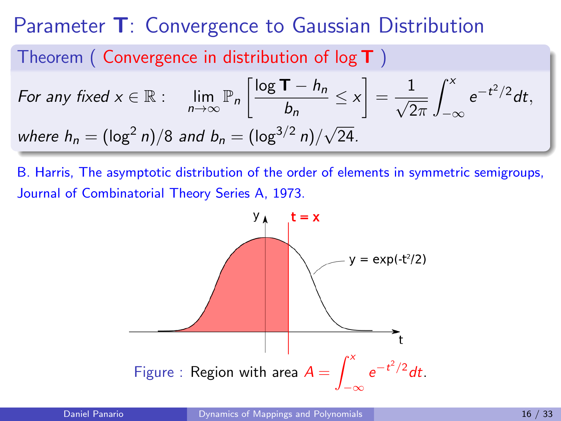#### Parameter T: Convergence to Gaussian Distribution

#### Theorem (Convergence in distribution of  $log T$ )

For any fixed 
$$
x \in \mathbb{R}
$$
:  $\lim_{n \to \infty} \mathbb{P}_n \left[ \frac{\log T - h_n}{b_n} \le x \right] = \frac{1}{\sqrt{2\pi}} \int_{-\infty}^x e^{-t^2/2} dt$ ,  
where  $h_n = (\log^2 n)/8$  and  $b_n = (\log^{3/2} n)/\sqrt{24}$ .

B. Harris, The asymptotic distribution of the order of elements in symmetric semigroups, Journal of Combinatorial Theory Series A, 1973.

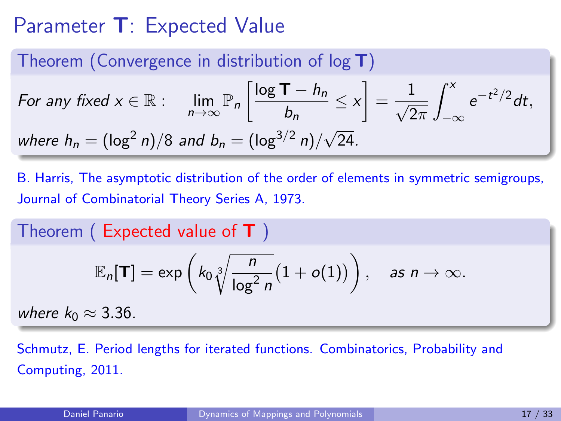### Parameter T: Expected Value

#### Theorem (Convergence in distribution of  $log T$ )

For any fixed 
$$
x \in \mathbb{R}
$$
:  $\lim_{n \to \infty} \mathbb{P}_n \left[ \frac{\log \mathbf{T} - h_n}{b_n} \le x \right] = \frac{1}{\sqrt{2\pi}} \int_{-\infty}^x e^{-t^2/2} dt$ ,  
where  $h_n = (\log^2 n)/8$  and  $b_n = (\log^{3/2} n)/\sqrt{24}$ .

B. Harris, The asymptotic distribution of the order of elements in symmetric semigroups, Journal of Combinatorial Theory Series A, 1973.

Theorem ( Expected value of T )  $\mathbb{E}_n[\mathsf{T}] = \exp\left(k_0 \sqrt[3]{\frac{n}{\ln n}}\right)$  $log<sup>2</sup> n$  $(1+o(1))$ , as  $n \to \infty$ . where  $k_0 \approx 3.36$ .

Schmutz, E. Period lengths for iterated functions. Combinatorics, Probability and Computing, 2011.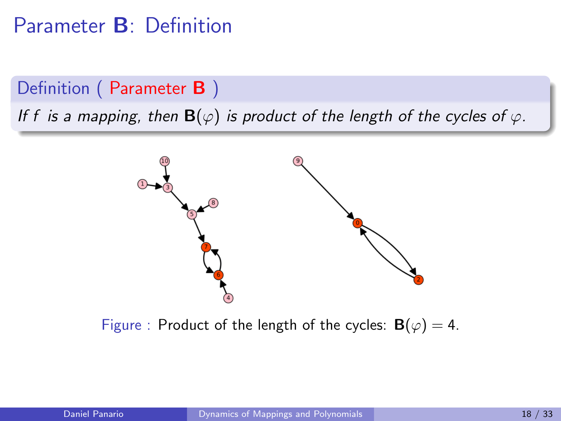#### Parameter B: Definition

#### Definition (Parameter B)

If f is a mapping, then  $\mathbf{B}(\varphi)$  is product of the length of the cycles of  $\varphi$ .



Figure : Product of the length of the cycles:  $\mathbf{B}(\varphi) = 4$ .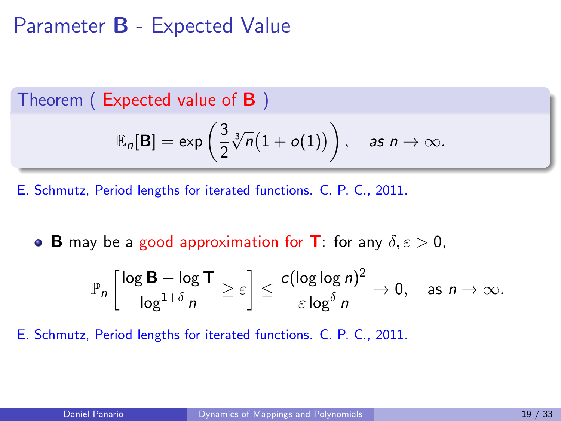#### Parameter B - Expected Value

Theorem ( Expected value of B )

$$
\mathbb{E}_n[\mathbf{B}] = \exp\left(\frac{3}{2}\sqrt[3]{n}(1+o(1))\right), \quad \text{as } n \to \infty.
$$

E. Schmutz, Period lengths for iterated functions. C. P. C., 2011.

**B** may be a good approximation for **T**: for any  $\delta, \varepsilon > 0$ ,

$$
\mathbb{P}_n\left[\frac{\log \mathbf{B} - \log \mathbf{T}}{\log^{1+\delta} n} \geq \varepsilon\right] \leq \frac{c(\log \log n)^2}{\varepsilon \log^{\delta} n} \to 0, \quad \text{as } n \to \infty.
$$

E. Schmutz, Period lengths for iterated functions. C. P. C., 2011.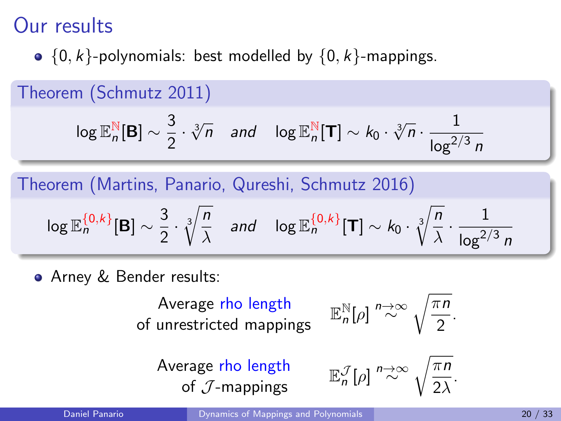•  ${0, k}$ -polynomials: best modelled by  ${0, k}$ -mappings.

Theorem (Schmutz 2011)

$$
\log \mathbb{E}_n^{\mathbb{N}}[\mathbf{B}] \sim \frac{3}{2} \cdot \sqrt[3]{n} \quad \text{and} \quad \log \mathbb{E}_n^{\mathbb{N}}[\mathbf{T}] \sim k_0 \cdot \sqrt[3]{n} \cdot \frac{1}{\log^{2/3} n}
$$

Theorem (Martins, Panario, Qureshi, Schmutz 2016)

$$
\log \mathbb{E}_n^{\{0,k\}}[\mathbf{B}] \sim \frac{3}{2} \cdot \sqrt[3]{\frac{n}{\lambda}} \quad \text{and} \quad \log \mathbb{E}_n^{\{0,k\}}[\mathbf{T}] \sim k_0 \cdot \sqrt[3]{\frac{n}{\lambda}} \cdot \frac{1}{\log^{2/3} n}
$$

Arney & Bender results:

Average rho length of unrestricted mappings <sup>E</sup>

$$
\mathbb{E}_n^{\mathbb{N}}[\rho] \stackrel{n\to\infty}{\sim} \sqrt{\frac{\pi n}{2}}.
$$

Average rho length of  $J$ -mappings

$$
\mathbb{E}_n^{\mathcal{J}}[\rho] \stackrel{n\to\infty}{\sim} \sqrt{\frac{\pi n}{2\lambda}}.
$$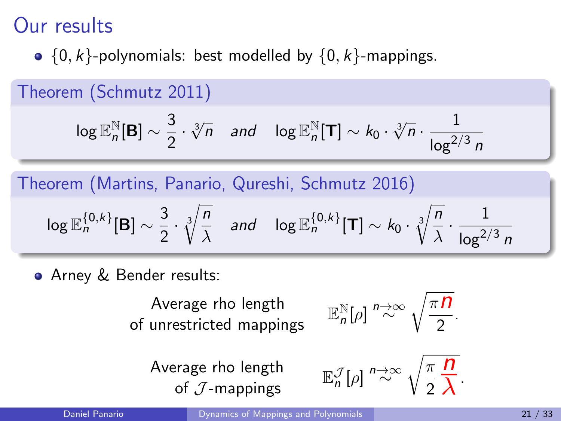•  ${0, k}$ -polynomials: best modelled by  ${0, k}$ -mappings.

Theorem (Schmutz 2011)

$$
\log \mathbb{E}_n^{\mathbb{N}}[\mathbf{B}] \sim \frac{3}{2} \cdot \sqrt[3]{n} \quad \text{and} \quad \log \mathbb{E}_n^{\mathbb{N}}[\mathbf{T}] \sim k_0 \cdot \sqrt[3]{n} \cdot \frac{1}{\log^{2/3} n}
$$

Theorem (Martins, Panario, Qureshi, Schmutz 2016)

$$
\log \mathbb{E}_n^{\{0,k\}}[\mathbf{B}] \sim \frac{3}{2} \cdot \sqrt[3]{\frac{n}{\lambda}} \quad \text{and} \quad \log \mathbb{E}_n^{\{0,k\}}[\mathbf{T}] \sim k_0 \cdot \sqrt[3]{\frac{n}{\lambda}} \cdot \frac{1}{\log^{2/3} n}
$$

Arney & Bender results:

Average rho length of unrestricted mappings

$$
\mathbb{E}_n^{\mathbb{N}}[\rho] \stackrel{n\to\infty}{\sim} \sqrt{\frac{\pi n}{2}}.
$$

Average rho length of  $\mathcal{J}$ -mappings

$$
\mathbb{E}_{n}^{\mathcal{J}}[\rho] \stackrel{n\to\infty}{\sim} \sqrt{\frac{\pi}{2} \frac{\Pi}{\lambda}}.
$$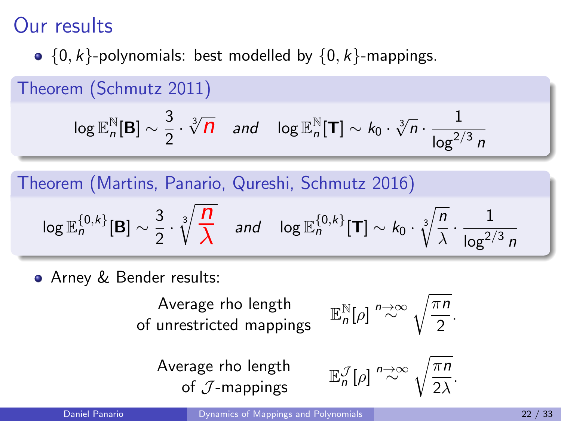•  ${0, k}$ -polynomials: best modelled by  ${0, k}$ -mappings.

Theorem (Schmutz 2011)

$$
\log \mathbb{E}_n^{\mathbb{N}}[\mathbf{B}] \sim \frac{3}{2} \cdot \sqrt[3]{\mathbf{n}} \quad \text{and} \quad \log \mathbb{E}_n^{\mathbb{N}}[\mathbf{T}] \sim k_0 \cdot \sqrt[3]{n} \cdot \frac{1}{\log^{2/3} n}
$$

Theorem (Martins, Panario, Qureshi, Schmutz 2016)

$$
\log \mathbb{E}_{n}^{\{0,k\}}[\mathbf{B}] \sim \frac{3}{2} \cdot \sqrt[3]{\frac{n}{\lambda}} \quad \text{and} \quad \log \mathbb{E}_{n}^{\{0,k\}}[\mathbf{T}] \sim k_0 \cdot \sqrt[3]{\frac{n}{\lambda}} \cdot \frac{1}{\log^{2/3} n}
$$

Arney & Bender results:

Average rho length of unrestricted mappings

$$
\mathbb{E}_n^{\mathbb{N}}[\rho] \stackrel{n\to\infty}{\sim} \sqrt{\frac{\pi n}{2}}.
$$

Average rho length of  $\mathcal{J}$ -mappings

$$
\mathbb{E}_n^{\mathcal{J}}[\rho] \stackrel{n\to\infty}{\sim} \sqrt{\frac{\pi n}{2\lambda}}.
$$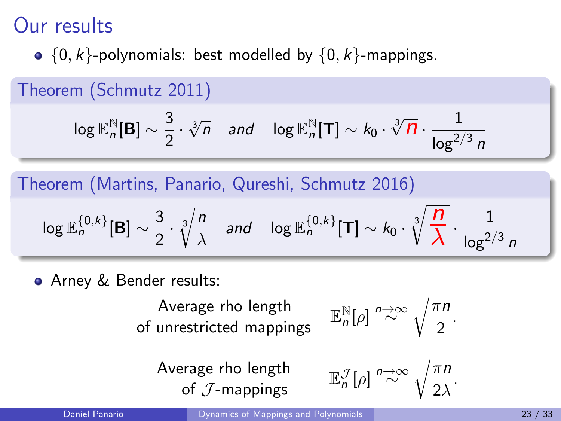•  ${0, k}$ -polynomials: best modelled by  ${0, k}$ -mappings.

Theorem (Schmutz 2011)  $\log \mathbb{E}_n^{\mathbb{N}}$  $\frac{N}{n}$ [B]  $\sim \frac{3}{2}$  $\frac{3}{2} \cdot \sqrt[3]{n}$  and  $\log \mathbb{E}_{n}^{\mathbb{N}}$  $\sum_{n=1}^{\infty}$ [T] ∼ k<sub>0</sub> ·  $\sqrt[3]{\mathbf{n}} \cdot \frac{1}{\sqrt{2}}$  $\log^{2/3} n$ 

Theorem (Martins, Panario, Qureshi, Schmutz 2016)

$$
\log \mathbb{E}_{n}^{\{0,k\}}[\mathbf{B}] \sim \frac{3}{2} \cdot \sqrt[3]{\frac{n}{\lambda}} \quad \text{and} \quad \log \mathbb{E}_{n}^{\{0,k\}}[\mathbf{T}] \sim k_0 \cdot \sqrt[3]{\frac{n}{\lambda}} \cdot \frac{1}{\log^{2/3} n}
$$

Arney & Bender results:

Average rho length of unrestricted mappings

$$
\mathbb{E}_n^{\mathbb{N}}[\rho] \stackrel{n\to\infty}{\sim} \sqrt{\frac{\pi n}{2}}.
$$

Average rho length of  $\mathcal{J}$ -mappings

$$
\mathbb{E}_n^{\mathcal{J}}[\rho] \stackrel{n\to\infty}{\sim} \sqrt{\frac{\pi n}{2\lambda}}.
$$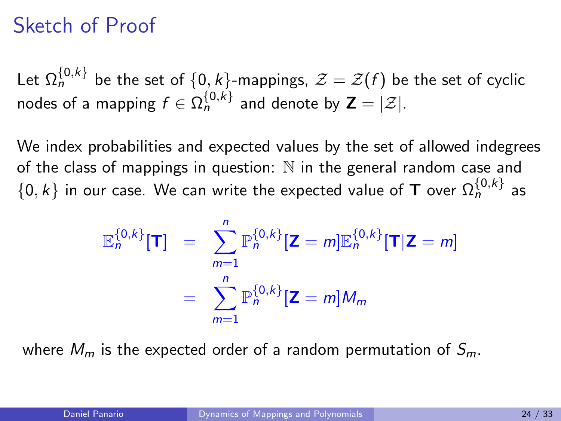#### Sketch of Proof

Let  $\Omega^{\{0,k\}}_n$  be the set of  $\{0,k\}$ -mappings,  $\mathcal{Z}=\mathcal{Z}(f)$  be the set of cyclic nodes of a mapping  $f\in \Omega_{n}^{\{0,k\}}$  and denote by  $\textsf{\textbf{Z}}=|\mathcal{Z}|.$ 

We index probabilities and expected values by the set of allowed indegrees of the class of mappings in question:  $N$  in the general random case and  $\{0,k\}$  in our case. We can write the expected value of  $\textsf{\textbf{T}}$  over  $\Omega^{ \{0,k \} }_{n}$  as

$$
\mathbb{E}_{n}^{\{0,k\}}[\mathbf{T}] = \sum_{m=1}^{n} \mathbb{P}_{n}^{\{0,k\}}[\mathbf{Z} = m] \mathbb{E}_{n}^{\{0,k\}}[\mathbf{T}|\mathbf{Z} = m]
$$

$$
= \sum_{m=1}^{n} \mathbb{P}_{n}^{\{0,k\}}[\mathbf{Z} = m]M_{m}
$$

where  $M_m$  is the expected order of a random permutation of  $S_m$ .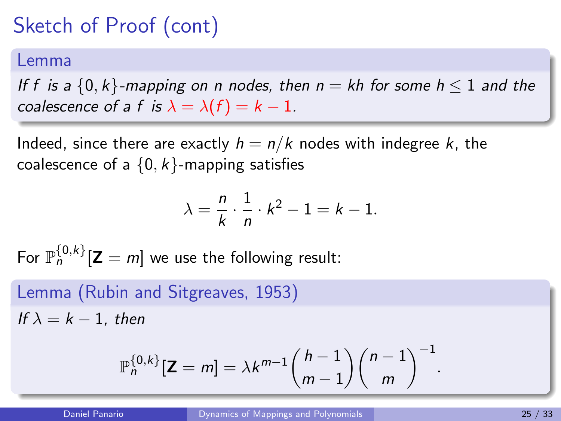#### Lemma

If f is a  $\{0, k\}$ -mapping on n nodes, then  $n = kh$  for some  $h \le 1$  and the coalescence of a f is  $\lambda = \lambda(f) = k - 1$ .

Indeed, since there are exactly  $h = n/k$  nodes with indegree k, the coalescence of a  $\{0, k\}$ -mapping satisfies

$$
\lambda = \frac{n}{k} \cdot \frac{1}{n} \cdot k^2 - 1 = k - 1.
$$

For  $\mathbb{P}_{n}^{\{0,k\}}[\mathsf{Z}=m]$  we use the following result:

Lemma (Rubin and Sitgreaves, 1953) If  $\lambda = k - 1$ , then

$$
\mathbb{P}_n^{\{0,k\}}[\mathbf{Z}=m] = \lambda k^{m-1} {h-1 \choose m-1} {n-1 \choose m}^{-1}
$$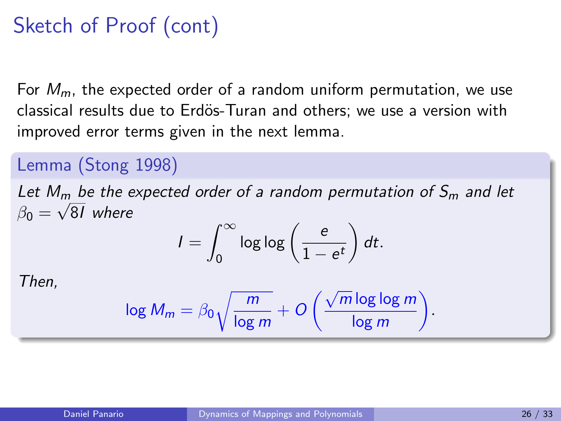For  $M_m$ , the expected order of a random uniform permutation, we use classical results due to Erdös-Turan and others; we use a version with improved error terms given in the next lemma.

#### Lemma (Stong 1998)

Let  $M_m$  be the expected order of a random permutation of  $S_m$  and let  $\beta_0 = \sqrt{81}$  where

$$
I = \int_0^\infty \log \log \left(\frac{e}{1 - e^t}\right) dt.
$$

Then,

$$
\log M_m = \beta_0 \sqrt{\frac{m}{\log m}} + O\left(\frac{\sqrt{m} \log \log m}{\log m}\right)
$$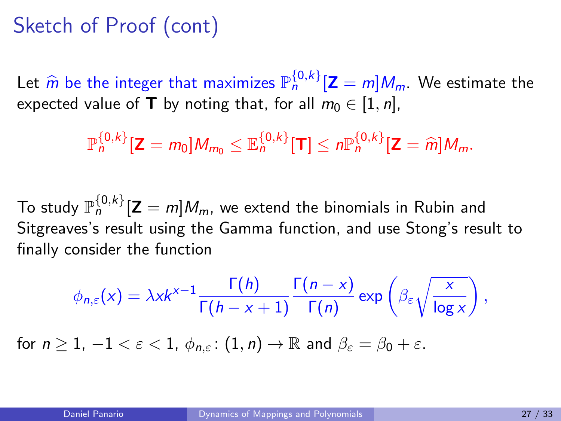Let  $\hat{m}$  be the integer that maximizes  $\mathbb{P}_{n}^{\{0,k\}}[\mathbf{Z}=m]M_{m}$ . We estimate the expected value of **T** by noting that, for all  $m_0 \in [1, n]$ ,

 $\mathbb{P}_n^{\{0,k\}}[\mathbf{Z}=m_0]M_{m_0}\leq \mathbb{E}_n^{\{0,k\}}[\mathbf{T}]\leq n\mathbb{P}_n^{\{0,k\}}[\mathbf{Z}=\widehat{m}]M_m.$ 

To study  $\mathbb{P}^{\{0,k\}}_n[\mathsf{Z}=m]M_m$ , we extend the binomials in Rubin and Sitgreaves's result using the Gamma function, and use Stong's result to finally consider the function

$$
\phi_{n,\varepsilon}(x) = \lambda x k^{x-1} \frac{\Gamma(h)}{\Gamma(h-x+1)} \frac{\Gamma(n-x)}{\Gamma(n)} \exp\left(\beta_{\varepsilon} \sqrt{\frac{x}{\log x}}\right),
$$
  
for  $n \ge 1, -1 < \varepsilon < 1$ ,  $\phi_{n,\varepsilon}$ :  $(1, n) \to \mathbb{R}$  and  $\beta_{\varepsilon} = \beta_0 + \varepsilon$ .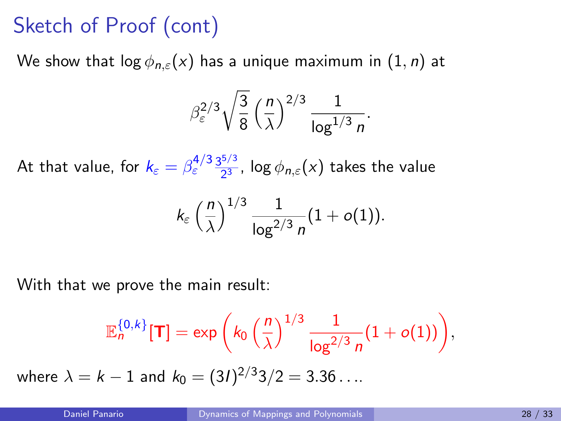We show that  $\log \phi_{n,\varepsilon}(x)$  has a unique maximum in  $(1, n)$  at

$$
\beta_{\varepsilon}^{2/3} \sqrt{\frac{3}{8}} \left(\frac{n}{\lambda}\right)^{2/3} \frac{1}{\log^{1/3} n}.
$$

At that value, for  $k_{\varepsilon}=\beta_{\varepsilon}^{4/3}\frac{3^{5/3}}{2^{3}}$  $\frac{2}{2^3}$ , log  $\phi_{n,\varepsilon}(x)$  takes the value

$$
k_{\varepsilon}\left(\frac{n}{\lambda}\right)^{1/3}\frac{1}{\log^{2/3}n}(1+o(1)).
$$

With that we prove the main result:

$$
\mathbb{E}_n^{\{0,k\}}[T] = \exp\bigg(k_0 \left(\frac{n}{\lambda}\right)^{1/3} \frac{1}{\log^{2/3} n} (1 + o(1))\bigg),
$$

where  $\lambda=k-1$  and  $k_0=(3I)^{2/3}$ 3 $/2=3.36\ldots$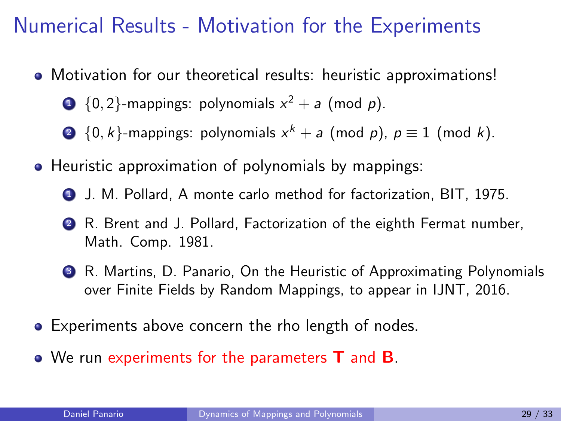#### Numerical Results - Motivation for the Experiments

- Motivation for our theoretical results: heuristic approximations!
	- $\textbf{1} \hspace{0.5em} \{0,2\}$ -mappings: polynomials  $x^2 + a$  (mod  $p$ ).
	- $\bullet\;\{0,k\}$ -mappings: polynomials  $x^{k}+a$  (mod  $p$ ),  $p\equiv 1$  (mod  $k$ ).
- Heuristic approximation of polynomials by mappings:
	- <sup>1</sup> J. M. Pollard, A monte carlo method for factorization, BIT, 1975.
	- <sup>2</sup> R. Brent and J. Pollard, Factorization of the eighth Fermat number, Math. Comp. 1981.
	- <sup>3</sup> R. Martins, D. Panario, On the Heuristic of Approximating Polynomials over Finite Fields by Random Mappings, to appear in IJNT, 2016.
- **•** Experiments above concern the rho length of nodes.
- We run experiments for the parameters **T** and **B**.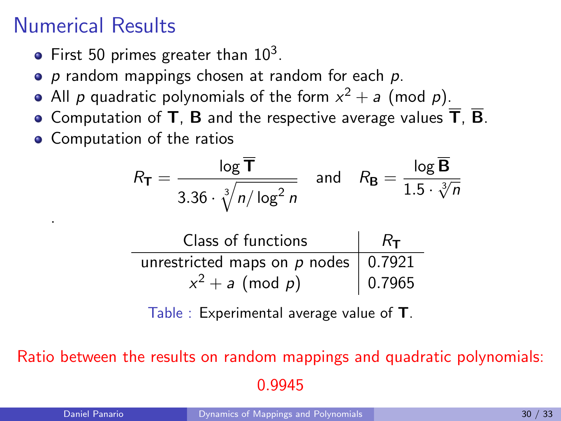### Numerical Results

- First 50 primes greater than  $10^3$ .
- $\bullet$  p random mappings chosen at random for each  $p$ .
- All  $\rho$  quadratic polynomials of the form  $x^2+a$  (mod  $\rho$ ).
- Computation of T, B and the respective average values  $\overline{T}$ ,  $\overline{B}$ .
- Computation of the ratios

$$
R_{\mathsf{T}} = \frac{\log \overline{\mathsf{T}}}{3.36 \cdot \sqrt[3]{n/\log^2 n}} \quad \text{and} \quad R_{\mathsf{B}} = \frac{\log \overline{\mathsf{B}}}{1.5 \cdot \sqrt[3]{n}}
$$

| Class of functions                      | $R_{\rm T}$ |
|-----------------------------------------|-------------|
| unrestricted maps on $p$ nodes   0.7921 |             |
| $x^2 + a \pmod{p}$                      | 0.7965      |

Table : Experimental average value of T.

Ratio between the results on random mappings and quadratic polynomials: 0.9945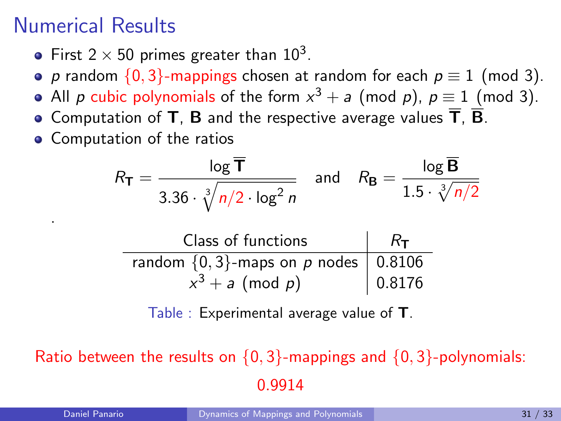### Numerical Results

- First 2  $\times$  50 primes greater than 10<sup>3</sup>.
- p random  $\{0, 3\}$ -mappings chosen at random for each  $p \equiv 1 \pmod{3}$ .
- All  $p$  cubic polynomials of the form  $x^3 + a$  (mod  $p$ ),  $p \equiv 1$  (mod 3).
- Computation of T, B and the respective average values  $\overline{T}$ .  $\overline{B}$ .
- Computation of the ratios

$$
R_{\mathsf{T}} = \frac{\log \overline{\mathsf{T}}}{3.36 \cdot \sqrt[3]{n/2 \cdot \log^2 n}} \quad \text{and} \quad R_{\mathsf{B}} = \frac{\log \overline{\mathsf{B}}}{1.5 \cdot \sqrt[3]{n/2}}
$$

| Class of functions                         | $R_{\text{T}}$ |
|--------------------------------------------|----------------|
| random $\{0,3\}$ -maps on p nodes   0.8106 |                |
| $x^3 + a \pmod{p}$                         | 0.8176         |

Table : Experimental average value of T.

Ratio between the results on  $\{0,3\}$ -mappings and  $\{0,3\}$ -polynomials: 0.9914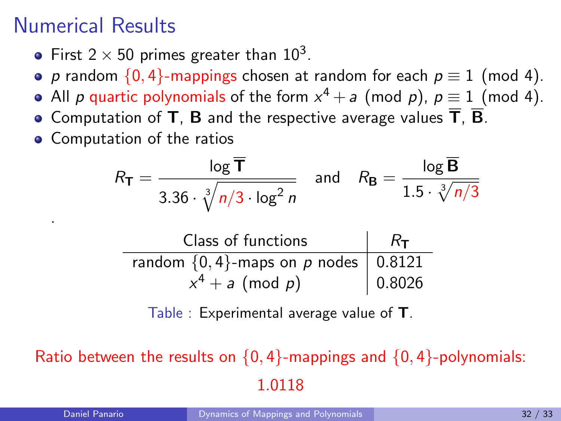### Numerical Results

- First 2  $\times$  50 primes greater than 10<sup>3</sup>.
- p random  $\{0, 4\}$ -mappings chosen at random for each  $p \equiv 1 \pmod{4}$ .
- All  $p$  quartic polynomials of the form  $x^4 + a$  (mod  $p$ ),  $p \equiv 1 \pmod{4}$ .
- Computation of T, B and the respective average values  $\overline{T}$ ,  $\overline{B}$ .
- Computation of the ratios

$$
R_{\mathsf{T}} = \frac{\log \overline{\mathsf{T}}}{3.36 \cdot \sqrt[3]{n/3} \cdot \log^2 n} \quad \text{and} \quad R_{\mathsf{B}} = \frac{\log \overline{\mathsf{B}}}{1.5 \cdot \sqrt[3]{n/3}}
$$

| Class of functions                          | $R_{\rm T}$ |
|---------------------------------------------|-------------|
| random $\{0, 4\}$ -maps on p nodes   0.8121 |             |
| $x^4 + a \pmod{p}$                          | 0.8026      |

Table : Experimental average value of T.

Ratio between the results on  $\{0, 4\}$ -mappings and  $\{0, 4\}$ -polynomials: 1.0118